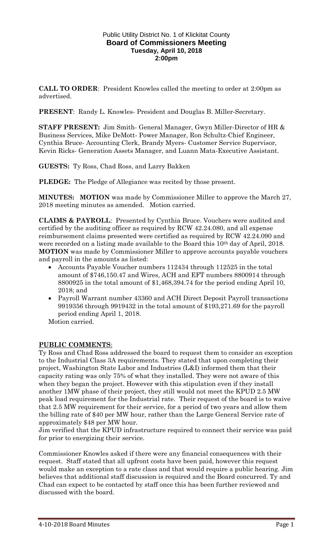#### Public Utility District No. 1 of Klickitat County **Board of Commissioners Meeting Tuesday, April 10, 2018 2:00pm**

**CALL TO ORDER**: President Knowles called the meeting to order at 2:00pm as advertised.

**PRESENT**: Randy L. Knowles- President and Douglas B. Miller-Secretary.

**STAFF PRESENT:** Jim Smith- General Manager, Gwyn Miller-Director of HR & Business Services, Mike DeMott- Power Manager, Ron Schultz-Chief Engineer, Cynthia Bruce- Accounting Clerk, Brandy Myers- Customer Service Supervisor, Kevin Ricks- Generation Assets Manager, and Luann Mata-Executive Assistant.

**GUESTS:** Ty Ross, Chad Ross, and Larry Bakken

**PLEDGE:** The Pledge of Allegiance was recited by those present.

**MINUTES: MOTION** was made by Commissioner Miller to approve the March 27, 2018 meeting minutes as amended. Motion carried.

**CLAIMS & PAYROLL**: Presented by Cynthia Bruce. Vouchers were audited and certified by the auditing officer as required by RCW 42.24.080, and all expense reimbursement claims presented were certified as required by RCW 42.24.090 and were recorded on a listing made available to the Board this 10<sup>th</sup> day of April, 2018. **MOTION** was made by Commissioner Miller to approve accounts payable vouchers and payroll in the amounts as listed:

- Accounts Payable Voucher numbers 112434 through 112525 in the total amount of \$746,150.47 and Wires, ACH and EFT numbers 8800914 through 8800925 in the total amount of \$1,468,394.74 for the period ending April 10, 2018; and
- Payroll Warrant number 43360 and ACH Direct Deposit Payroll transactions 9919356 through 9919432 in the total amount of \$193,271.69 for the payroll period ending April 1, 2018.

Motion carried.

### **PUBLIC COMMENTS**:

Ty Ross and Chad Ross addressed the board to request them to consider an exception to the Industrial Class 3A requirements. They stated that upon completing their project, Washington State Labor and Industries (L&I) informed them that their capacity rating was only 75% of what they installed. They were not aware of this when they began the project. However with this stipulation even if they install another 1MW phase of their project, they still would not meet the KPUD 2.5 MW peak load requirement for the Industrial rate. Their request of the board is to waive that 2.5 MW requirement for their service, for a period of two years and allow them the billing rate of \$40 per MW hour, rather than the Large General Service rate of approximately \$48 per MW hour.

Jim verified that the KPUD infrastructure required to connect their service was paid for prior to energizing their service.

Commissioner Knowles asked if there were any financial consequences with their request. Staff stated that all upfront costs have been paid, however this request would make an exception to a rate class and that would require a public hearing. Jim believes that additional staff discussion is required and the Board concurred. Ty and Chad can expect to be contacted by staff once this has been further reviewed and discussed with the board.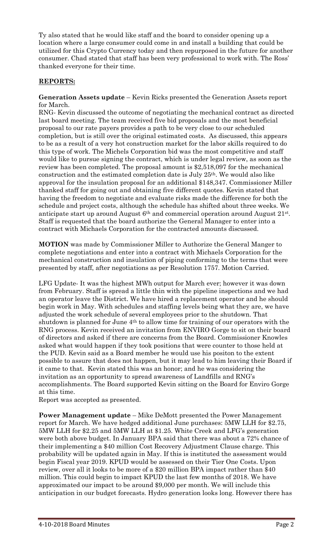Ty also stated that he would like staff and the board to consider opening up a location where a large consumer could come in and install a building that could be utilized for this Crypto Currency today and then repurposed in the future for another consumer. Chad stated that staff has been very professional to work with. The Ross' thanked everyone for their time.

## **REPORTS:**

**Generation Assets update** – Kevin Ricks presented the Generation Assets report for March.

RNG- Kevin discussed the outcome of negotiating the mechanical contract as directed last board meeting. The team received five bid proposals and the most beneficial proposal to our rate payers provides a path to be very close to our scheduled completion, but is still over the original estimated costs. As discussed, this appears to be as a result of a very hot construction market for the labor skills required to do this type of work. The Michels Corporation bid was the most competitive and staff would like to pursue signing the contract, which is under legal review, as soon as the review has been completed. The proposal amount is \$2,518,097 for the mechanical construction and the estimated completion date is July 25th. We would also like approval for the insulation proposal for an additional \$148,347. Commissioner Miller thanked staff for going out and obtaining five different quotes. Kevin stated that having the freedom to negotiate and evaluate risks made the difference for both the schedule and project costs, although the schedule has shifted about three weeks. We anticipate start up around August 6<sup>th</sup> and commercial operation around August 21<sup>st</sup>. Staff is requested that the board authorize the General Manager to enter into a contract with Michaels Corporation for the contracted amounts discussed.

**MOTION** was made by Commissioner Miller to Authorize the General Manger to complete negotiations and enter into a contract with Michaels Corporation for the mechanical construction and insulation of piping conforming to the terms that were presented by staff, after negotiations as per Resolution 1757. Motion Carried.

LFG Update- It was the highest MWh output for March ever; however it was down from February. Staff is spread a little thin with the pipeline inspections and we had an operator leave the District. We have hired a replacement operator and he should begin work in May. With schedules and staffing levels being what they are, we have adjusted the work schedule of several employees prior to the shutdown. That shutdown is planned for June 4th to allow time for training of our operators with the RNG process. Kevin received an invitation from ENVIRO Gorge to sit on their board of directors and asked if there are concerns from the Board. Commissioner Knowles asked what would happen if they took positions that were counter to those held at the PUD. Kevin said as a Board member he would use his positon to the extent possible to assure that does not happen, but it may lead to him leaving their Board if it came to that. Kevin stated this was an honor; and he was considering the invitation as an opportunity to spread awareness of Landfills and RNG's accomplishments. The Board supported Kevin sitting on the Board for Enviro Gorge at this time.

Report was accepted as presented.

**Power Management update** – Mike DeMott presented the Power Management report for March. We have hedged additional June purchases: 5MW LLH for \$2.75, 5MW LLH for \$2.25 and 5MW LLH at \$1.25. White Creek and LFG's generation were both above budget. In January BPA said that there was about a 72% chance of their implementing a \$40 million Cost Recovery Adjustment Clause charge. This probability will be updated again in May. If this is instituted the assessment would begin Fiscal year 2019. KPUD would be assessed on their Tier One Costs. Upon review, over all it looks to be more of a \$20 million BPA impact rather than \$40 million. This could begin to impact KPUD the last few months of 2018. We have approximated our impact to be around \$9,000 per month. We will include this anticipation in our budget forecasts. Hydro generation looks long. However there has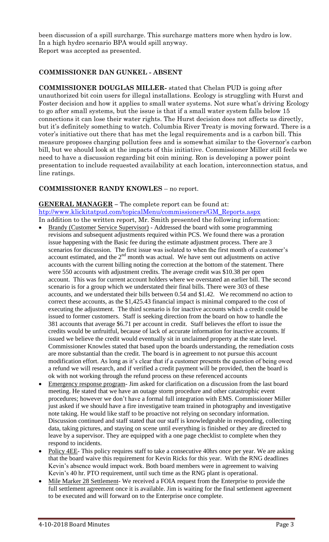been discussion of a spill surcharge. This surcharge matters more when hydro is low. In a high hydro scenario BPA would spill anyway. Report was accepted as presented.

# **COMMISSIONER DAN GUNKEL - ABSENT**

**COMMISSIONER DOUGLAS MILLER-** stated that Chelan PUD is going after unauthorized bit coin users for illegal installations. Ecology is struggling with Hurst and Foster decision and how it applies to small water systems. Not sure what's driving Ecology to go after small systems, but the issue is that if a small water system falls below 15 connections it can lose their water rights. The Hurst decision does not affects us directly, but it's definitely something to watch. Columbia River Treaty is moving forward. There is a voter's initiative out there that has met the legal requirements and is a carbon bill. This measure proposes charging pollution fees and is somewhat similar to the Governor's carbon bill, but we should look at the impacts of this initiative. Commissioner Miller still feels we need to have a discussion regarding bit coin mining. Ron is developing a power point presentation to include requested availability at each location, interconnection status, and line ratings.

## **COMMISSIONER RANDY KNOWLES** – no report.

## **GENERAL MANAGER –** The complete report can be found at:

[htp://www.klickitatpud.com/topicalMenu/commissioners/GM\\_Reports.aspx](http://www.klickitatpud.com/topicalMenu/commissioners/GM_Reports.aspx) In addition to the written report, Mr. Smith presented the following information:

- Brandy (Customer Service Supervisor) Addressed the board with some programming revisions and subsequent adjustments required within PCS. We found there was a proration issue happening with the Basic fee during the estimate adjustment process. There are 3 scenarios for discussion. The first issue was isolated to when the first month of a customer's account estimated, and the  $2<sup>nd</sup>$  month was actual. We have sent out adjustments on active accounts with the current billing noting the correction at the bottom of the statement. There were 550 accounts with adjustment credits. The average credit was \$10.38 per open account. This was for current account holders where we overstated an earlier bill. The second scenario is for a group which we understated their final bills. There were 303 of these accounts, and we understated their bills between 0.54 and \$1.42. We recommend no action to correct these accounts, as the \$1,425.43 financial impact is minimal compared to the cost of executing the adjustment. The third scenario is for inactive accounts which a credit could be issued to former customers. Staff is seeking direction from the board on how to handle the 381 accounts that average \$6.71 per account in credit. Staff believes the effort to issue the credits would be unfruitful, because of lack of accurate information for inactive accounts. If issued we believe the credit would eventually sit in unclaimed property at the state level. Commissioner Knowles stated that based upon the boards understanding, the remediation costs are more substantial than the credit. The board is in agreement to not pursue this account modification effort. As long as it's clear that if a customer presents the question of being owed a refund we will research, and if verified a credit payment will be provided, then the board is ok with not working through the refund process on these referenced accounts
- Emergency response program- Jim asked for clarification on a discussion from the last board meeting. He stated that we have an outage storm procedure and other catastrophic event procedures; however we don't have a formal full integration with EMS. Commissioner Miller just asked if we should have a fire investigative team trained in photography and investigative note taking. He would like staff to be proactive not relying on secondary information. Discussion continued and staff stated that our staff is knowledgeable in responding, collecting data, taking pictures, and staying on scene until everything is finished or they are directed to leave by a supervisor. They are equipped with a one page checklist to complete when they respond to incidents.
- Policy 4EE- This policy requires staff to take a consecutive 40hrs once per year. We are asking that the board waive this requirement for Kevin Ricks for this year. With the RNG deadlines Kevin's absence would impact work. Both board members were in agreement to waiving Kevin's 40 hr. PTO requirement, until such time as the RNG plant is operational.
- Mile Marker 28 Settlement- We received a FOIA request from the Enterprise to provide the full settlement agreement once it is available. Jim is waiting for the final settlement agreement to be executed and will forward on to the Enterprise once complete.